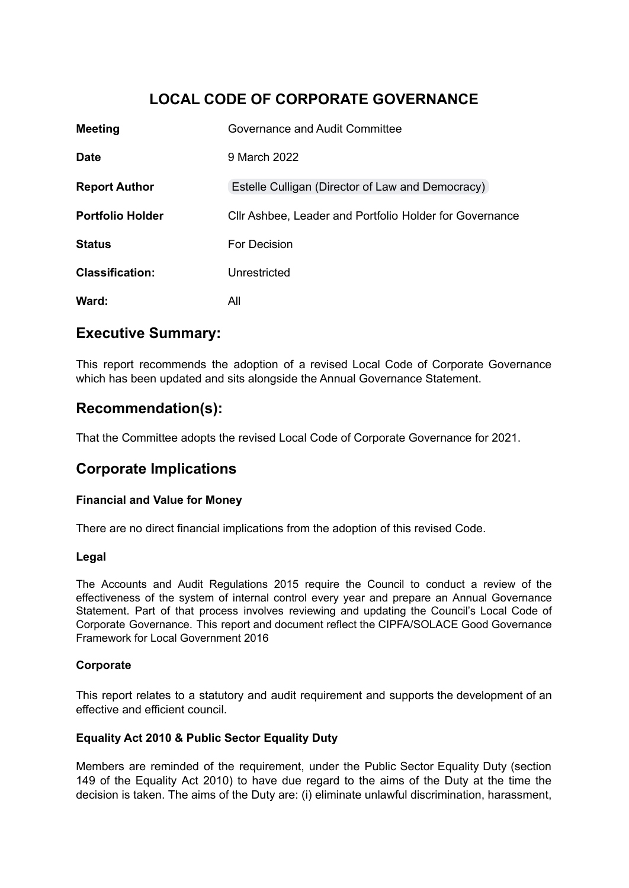# **LOCAL CODE OF CORPORATE GOVERNANCE**

| <b>Meeting</b>          | Governance and Audit Committee                          |
|-------------------------|---------------------------------------------------------|
| <b>Date</b>             | 9 March 2022                                            |
| <b>Report Author</b>    | Estelle Culligan (Director of Law and Democracy)        |
| <b>Portfolio Holder</b> | Cllr Ashbee, Leader and Portfolio Holder for Governance |
| <b>Status</b>           | For Decision                                            |
| <b>Classification:</b>  | Unrestricted                                            |
| Ward:                   | All                                                     |

## **Executive Summary:**

This report recommends the adoption of a revised Local Code of Corporate Governance which has been updated and sits alongside the Annual Governance Statement.

# **Recommendation(s):**

That the Committee adopts the revised Local Code of Corporate Governance for 2021.

# **Corporate Implications**

### **Financial and Value for Money**

There are no direct financial implications from the adoption of this revised Code.

#### **Legal**

The Accounts and Audit Regulations 2015 require the Council to conduct a review of the effectiveness of the system of internal control every year and prepare an Annual Governance Statement. Part of that process involves reviewing and updating the Council's Local Code of Corporate Governance. This report and document reflect the CIPFA/SOLACE Good Governance Framework for Local Government 2016

### **Corporate**

This report relates to a statutory and audit requirement and supports the development of an effective and efficient council.

#### **Equality Act 2010 & Public Sector Equality Duty**

Members are reminded of the requirement, under the Public Sector Equality Duty (section 149 of the Equality Act 2010) to have due regard to the aims of the Duty at the time the decision is taken. The aims of the Duty are: (i) eliminate unlawful discrimination, harassment,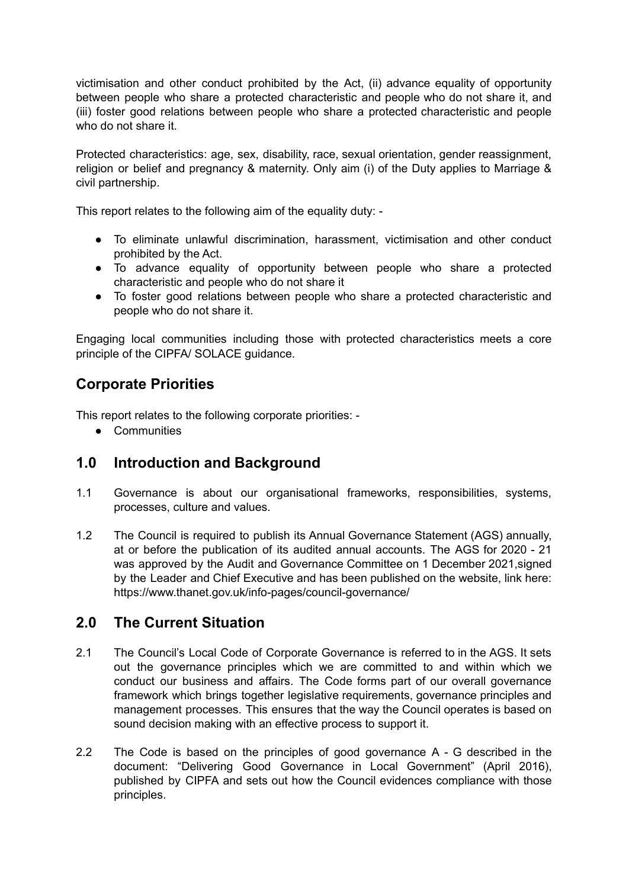victimisation and other conduct prohibited by the Act, (ii) advance equality of opportunity between people who share a protected characteristic and people who do not share it, and (iii) foster good relations between people who share a protected characteristic and people who do not share it.

Protected characteristics: age, sex, disability, race, sexual orientation, gender reassignment, religion or belief and pregnancy & maternity. Only aim (i) of the Duty applies to Marriage & civil partnership.

This report relates to the following aim of the equality duty: -

- To eliminate unlawful discrimination, harassment, victimisation and other conduct prohibited by the Act.
- To advance equality of opportunity between people who share a protected characteristic and people who do not share it
- To foster good relations between people who share a protected characteristic and people who do not share it.

Engaging local communities including those with protected characteristics meets a core principle of the CIPFA/ SOLACE guidance.

# **Corporate Priorities**

This report relates to the following corporate priorities: -

● Communities

## **1.0 Introduction and Background**

- 1.1 Governance is about our organisational frameworks, responsibilities, systems, processes, culture and values.
- 1.2 The Council is required to publish its Annual Governance Statement (AGS) annually, at or before the publication of its audited annual accounts. The AGS for 2020 - 21 was approved by the Audit and Governance Committee on 1 December 2021,signed by the Leader and Chief Executive and has been published on the website, link here: https://www.thanet.gov.uk/info-pages/council-governance/

## **2.0 The Current Situation**

- 2.1 The Council's Local Code of Corporate Governance is referred to in the AGS. It sets out the governance principles which we are committed to and within which we conduct our business and affairs. The Code forms part of our overall governance framework which brings together legislative requirements, governance principles and management processes. This ensures that the way the Council operates is based on sound decision making with an effective process to support it.
- 2.2 The Code is based on the principles of good governance A G described in the document: "Delivering Good Governance in Local Government" (April 2016), published by CIPFA and sets out how the Council evidences compliance with those principles.